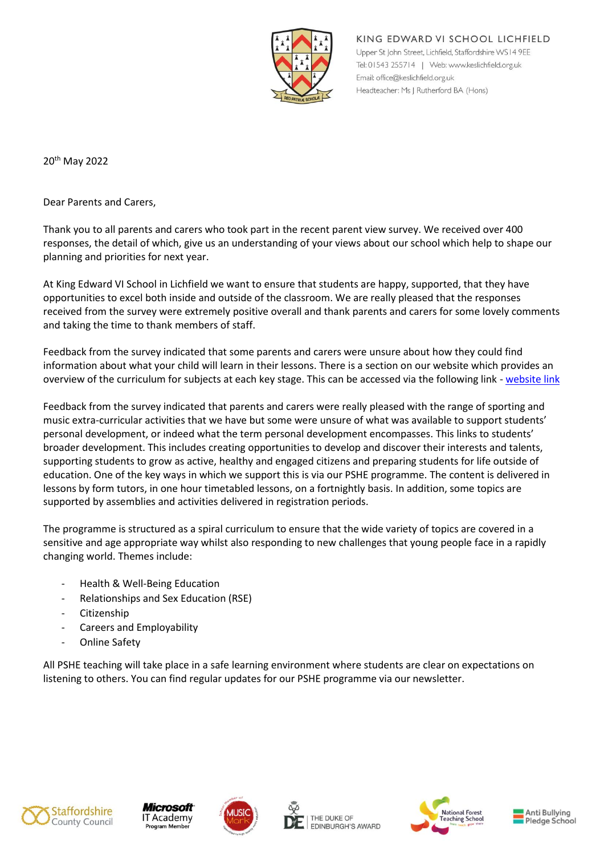

KING EDWARD VI SCHOOL LICHFIELD Upper St John Street, Lichfield, Staffordshire WS14 9EE Tel: 01543 255714 | Web: www.keslichfield.org.uk Email: office@keslichfield.org.uk Headteacher: Ms J Rutherford BA (Hons)

20th May 2022

Dear Parents and Carers,

Thank you to all parents and carers who took part in the recent parent view survey. We received over 400 responses, the detail of which, give us an understanding of your views about our school which help to shape our planning and priorities for next year.

At King Edward VI School in Lichfield we want to ensure that students are happy, supported, that they have opportunities to excel both inside and outside of the classroom. We are really pleased that the responses received from the survey were extremely positive overall and thank parents and carers for some lovely comments and taking the time to thank members of staff.

Feedback from the survey indicated that some parents and carers were unsure about how they could find information about what your child will learn in their lessons. There is a section on our website which provides an overview of the curriculum for subjects at each key stage. This can be accessed via the following link - [website link](http://www.keslichfield.org.uk/?page_id=430)

Feedback from the survey indicated that parents and carers were really pleased with the range of sporting and music extra-curricular activities that we have but some were unsure of what was available to support students' personal development, or indeed what the term personal development encompasses. This links to students' broader development. This includes creating opportunities to develop and discover their interests and talents, supporting students to grow as active, healthy and engaged citizens and preparing students for life outside of education. One of the key ways in which we support this is via our PSHE programme. The content is delivered in lessons by form tutors, in one hour timetabled lessons, on a fortnightly basis. In addition, some topics are supported by assemblies and activities delivered in registration periods.

The programme is structured as a spiral curriculum to ensure that the wide variety of topics are covered in a sensitive and age appropriate way whilst also responding to new challenges that young people face in a rapidly changing world. Themes include:

- Health & Well-Being Education
- Relationships and Sex Education (RSE)
- **Citizenship**
- Careers and Employability
- Online Safety

All PSHE teaching will take place in a safe learning environment where students are clear on expectations on listening to others. You can find regular updates for our PSHE programme via our newsletter.